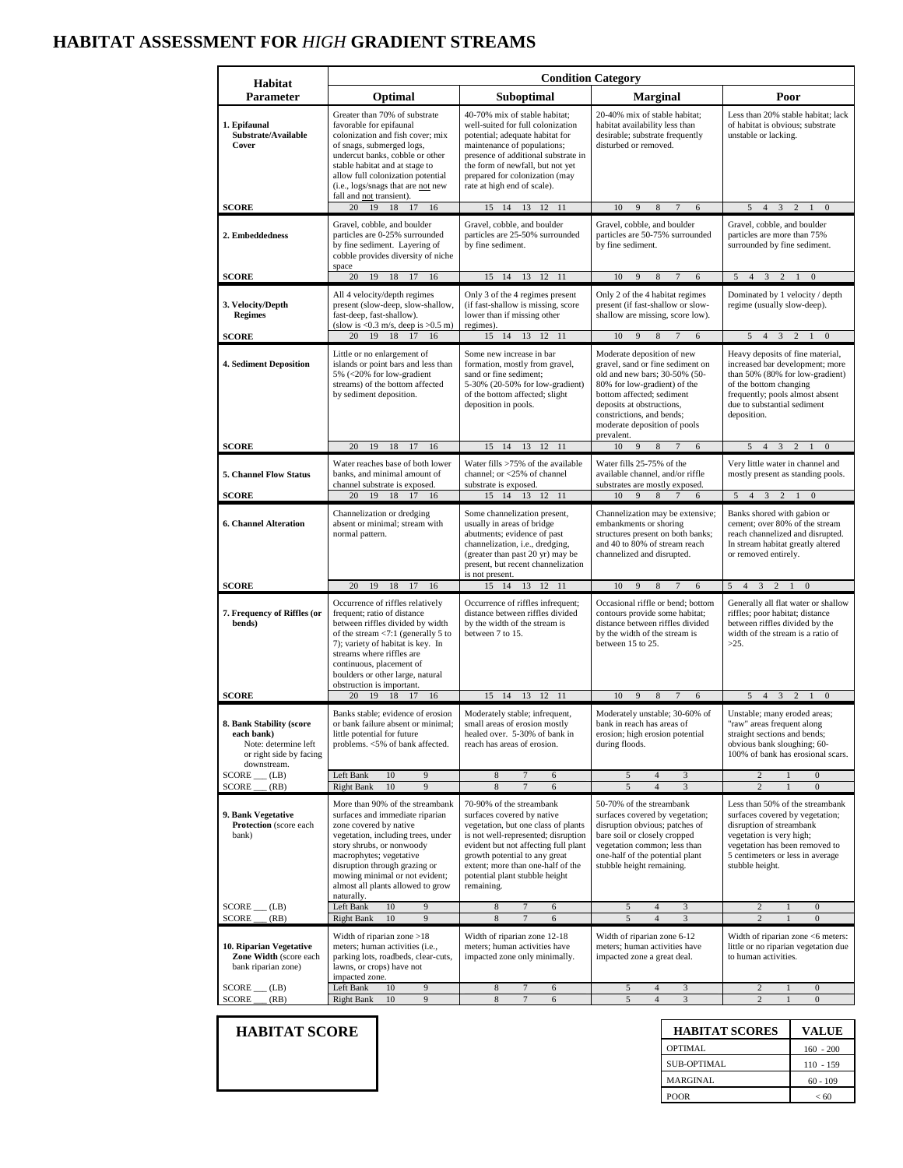## **HABITAT ASSESSMENT FOR** *HIGH* **GRADIENT STREAMS**

| Habitat                                                                                                  | <b>Condition Category</b>                                                                                                                                                                                                                                                                                                 |                                                                                                                                                                                                                                                                                                    |                                                                                                                                                                                                                                                                      |                                                                                                                                                                                                                     |  |
|----------------------------------------------------------------------------------------------------------|---------------------------------------------------------------------------------------------------------------------------------------------------------------------------------------------------------------------------------------------------------------------------------------------------------------------------|----------------------------------------------------------------------------------------------------------------------------------------------------------------------------------------------------------------------------------------------------------------------------------------------------|----------------------------------------------------------------------------------------------------------------------------------------------------------------------------------------------------------------------------------------------------------------------|---------------------------------------------------------------------------------------------------------------------------------------------------------------------------------------------------------------------|--|
| <b>Parameter</b>                                                                                         | Optimal                                                                                                                                                                                                                                                                                                                   | Suboptimal                                                                                                                                                                                                                                                                                         | <b>Marginal</b>                                                                                                                                                                                                                                                      | Poor                                                                                                                                                                                                                |  |
| 1. Epifaunal<br>Substrate/Available<br>Cover                                                             | Greater than 70% of substrate<br>favorable for epifaunal<br>colonization and fish cover; mix<br>of snags, submerged logs,<br>undercut banks, cobble or other<br>stable habitat and at stage to<br>allow full colonization potential<br>(i.e., logs/snags that are not new<br>fall and not transient).                     | 40-70% mix of stable habitat;<br>well-suited for full colonization<br>potential; adequate habitat for<br>maintenance of populations;<br>presence of additional substrate in<br>the form of newfall, but not yet<br>prepared for colonization (may<br>rate at high end of scale).                   | 20-40% mix of stable habitat;<br>habitat availability less than<br>desirable; substrate frequently<br>disturbed or removed.                                                                                                                                          | Less than 20% stable habitat; lack<br>of habitat is obvious; substrate<br>unstable or lacking.                                                                                                                      |  |
| <b>SCORE</b>                                                                                             | 20<br>19<br>17<br>18<br>16                                                                                                                                                                                                                                                                                                | 15 14<br>12 11<br>13                                                                                                                                                                                                                                                                               | $10\,$<br>9<br>$\overline{7}$<br>$\sqrt{6}$<br>8                                                                                                                                                                                                                     | 5<br>3<br>$\boldsymbol{0}$<br>$\overline{4}$<br>$\overline{2}$                                                                                                                                                      |  |
| 2. Embeddedness                                                                                          | Gravel, cobble, and boulder<br>particles are 0-25% surrounded<br>by fine sediment. Layering of<br>cobble provides diversity of niche<br>space                                                                                                                                                                             | Gravel, cobble, and boulder<br>particles are 25-50% surrounded<br>by fine sediment.                                                                                                                                                                                                                | Gravel, cobble, and boulder<br>particles are 50-75% surrounded<br>by fine sediment.                                                                                                                                                                                  | Gravel, cobble, and boulder<br>particles are more than 75%<br>surrounded by fine sediment.                                                                                                                          |  |
| <b>SCORE</b>                                                                                             | 18<br>20<br>19<br>17<br>16                                                                                                                                                                                                                                                                                                | 15<br>14<br>13<br>12 11                                                                                                                                                                                                                                                                            | 10<br>9<br>8<br>6                                                                                                                                                                                                                                                    | $\overline{4}$<br>3<br>5<br>$\overline{2}$<br>$\mathbf{0}$                                                                                                                                                          |  |
| 3. Velocity/Depth<br><b>Regimes</b>                                                                      | All 4 velocity/depth regimes<br>present (slow-deep, slow-shallow,<br>fast-deep, fast-shallow).<br>(slow is $<$ 0.3 m/s, deep is $>$ 0.5 m)                                                                                                                                                                                | Only 3 of the 4 regimes present<br>(if fast-shallow is missing, score<br>lower than if missing other<br>regimes).                                                                                                                                                                                  | Only 2 of the 4 habitat regimes<br>present (if fast-shallow or slow-<br>shallow are missing, score low).                                                                                                                                                             | Dominated by 1 velocity / depth<br>regime (usually slow-deep).                                                                                                                                                      |  |
| <b>SCORE</b>                                                                                             | 18 17<br>20<br>19<br>16                                                                                                                                                                                                                                                                                                   | 14<br>15<br>13<br>12 11                                                                                                                                                                                                                                                                            | 10<br>9<br>6<br>8                                                                                                                                                                                                                                                    | $5\quad 4$<br>$\overline{3}$<br>$\mathbf{0}$<br>$\overline{c}$<br>$\mathbf{1}$                                                                                                                                      |  |
| <b>4. Sediment Deposition</b>                                                                            | Little or no enlargement of<br>islands or point bars and less than<br>5% (<20% for low-gradient<br>streams) of the bottom affected<br>by sediment deposition.                                                                                                                                                             | Some new increase in bar<br>formation, mostly from gravel,<br>sand or fine sediment;<br>5-30% (20-50% for low-gradient)<br>of the bottom affected; slight<br>deposition in pools.                                                                                                                  | Moderate deposition of new<br>gravel, sand or fine sediment on<br>old and new bars; 30-50% (50-<br>80% for low-gradient) of the<br>bottom affected; sediment<br>deposits at obstructions,<br>constrictions, and bends;<br>moderate deposition of pools<br>prevalent. | Heavy deposits of fine material,<br>increased bar development; more<br>than 50% (80% for low-gradient)<br>of the bottom changing<br>frequently; pools almost absent<br>due to substantial sediment<br>deposition.   |  |
| <b>SCORE</b>                                                                                             | 19<br>20<br>18<br>17<br>16                                                                                                                                                                                                                                                                                                | 12 11<br>15 14<br>13                                                                                                                                                                                                                                                                               | 10<br>9<br>8<br>6                                                                                                                                                                                                                                                    | 5 <sup>5</sup><br>$\overline{0}$<br>$\overline{4}$<br>3<br>$\overline{2}$<br>$\mathbf{1}$                                                                                                                           |  |
| 5. Channel Flow Status                                                                                   | Water reaches base of both lower<br>banks, and minimal amount of<br>channel substrate is exposed.                                                                                                                                                                                                                         | Water fills >75% of the available<br>channel; or <25% of channel<br>substrate is exposed.                                                                                                                                                                                                          | Water fills 25-75% of the<br>available channel, and/or riffle<br>substrates are mostly exposed.                                                                                                                                                                      | Very little water in channel and<br>mostly present as standing pools.                                                                                                                                               |  |
| <b>SCORE</b>                                                                                             | 19<br>18<br>17<br>20<br>16                                                                                                                                                                                                                                                                                                | 15 14<br>13<br>12 11                                                                                                                                                                                                                                                                               | 10<br>9<br>8<br>$7\phantom{.0}$<br>6                                                                                                                                                                                                                                 | 5<br>$\overline{4}$<br>3 <sup>7</sup><br>$\overline{c}$<br>$\overline{0}$<br>1                                                                                                                                      |  |
| <b>6. Channel Alteration</b>                                                                             | Channelization or dredging<br>absent or minimal; stream with<br>normal pattern.                                                                                                                                                                                                                                           | Some channelization present,<br>usually in areas of bridge<br>abutments; evidence of past<br>channelization, i.e., dredging,<br>(greater than past 20 yr) may be<br>present, but recent channelization<br>is not present.                                                                          | Channelization may be extensive;<br>embankments or shoring<br>structures present on both banks;<br>and 40 to 80% of stream reach<br>channelized and disrupted.                                                                                                       | Banks shored with gabion or<br>cement; over 80% of the stream<br>reach channelized and disrupted.<br>In stream habitat greatly altered<br>or removed entirely.                                                      |  |
| <b>SCORE</b>                                                                                             | 20<br>19<br>18<br>17<br>16                                                                                                                                                                                                                                                                                                | 15 14<br>13<br>12 11                                                                                                                                                                                                                                                                               | 10<br>9<br>6<br>8<br>$\overline{7}$                                                                                                                                                                                                                                  | 5<br>$\overline{4}$<br>$\mathfrak{Z}$<br>$\overline{c}$<br>$\bf{0}$<br>$\overline{1}$                                                                                                                               |  |
| 7. Frequency of Riffles (or<br>bends)                                                                    | Occurrence of riffles relatively<br>frequent; ratio of distance<br>between riffles divided by width<br>of the stream $\langle 7:1 \rangle$ (generally 5 to<br>7); variety of habitat is key. In<br>streams where riffles are<br>continuous, placement of<br>boulders or other large, natural<br>obstruction is important. | Occurrence of riffles infrequent;<br>distance between riffles divided<br>by the width of the stream is<br>between 7 to 15.                                                                                                                                                                         | Occasional riffle or bend; bottom<br>contours provide some habitat;<br>distance between riffles divided<br>by the width of the stream is<br>between 15 to 25.                                                                                                        | Generally all flat water or shallow<br>riffles; poor habitat; distance<br>between riffles divided by the<br>width of the stream is a ratio of<br>>25.                                                               |  |
| <b>SCORE</b>                                                                                             | 20<br>19<br>18<br>17<br>16                                                                                                                                                                                                                                                                                                | 15<br>14<br>13<br>12<br>11                                                                                                                                                                                                                                                                         | 10<br>9<br>$\,$ 8 $\,$<br>$\overline{7}$<br>6                                                                                                                                                                                                                        | 5<br>$\mathbf{3}$<br>$\overline{c}$<br>$\mathbf{0}$<br>$\overline{4}$<br>$\mathbf{1}$                                                                                                                               |  |
| 8. Bank Stability (score<br>each bank)<br>Note: determine left<br>or right side by facing<br>downstream. | Banks stable; evidence of erosion<br>or bank failure absent or minimal;<br>little potential for future<br>problems. <5% of bank affected.                                                                                                                                                                                 | Moderately stable; infrequent,<br>small areas of erosion mostly<br>healed over. 5-30% of bank in<br>reach has areas of erosion.                                                                                                                                                                    | Moderately unstable; 30-60% of<br>bank in reach has areas of<br>erosion; high erosion potential<br>during floods.                                                                                                                                                    | Unstable; many eroded areas;<br>"raw" areas frequent along<br>straight sections and bends;<br>obvious bank sloughing; 60-<br>100% of bank has erosional scars.                                                      |  |
| <b>SCORE</b><br>(LB)<br><b>SCORE</b><br>(RB)                                                             | Left Bank<br>10<br>9<br><b>Right Bank</b><br>9<br>10                                                                                                                                                                                                                                                                      | 8<br>7<br>6<br>$\,$ 8 $\,$<br>7<br>6                                                                                                                                                                                                                                                               | 4<br>3<br>5<br>5<br>3<br>4                                                                                                                                                                                                                                           | 2<br>$\mathbf{0}$<br>$\overline{c}$<br>$\boldsymbol{0}$                                                                                                                                                             |  |
| 9. Bank Vegetative<br>Protection (score each<br>bank)                                                    | More than 90% of the streambank<br>surfaces and immediate riparian<br>zone covered by native<br>vegetation, including trees, under<br>story shrubs, or nonwoody<br>macrophytes; vegetative<br>disruption through grazing or<br>mowing minimal or not evident;<br>almost all plants allowed to grow<br>naturally.          | 70-90% of the streambank<br>surfaces covered by native<br>vegetation, but one class of plants<br>is not well-represented; disruption<br>evident but not affecting full plant<br>growth potential to any great<br>extent; more than one-half of the<br>potential plant stubble height<br>remaining. | 50-70% of the streambank<br>surfaces covered by vegetation;<br>disruption obvious; patches of<br>bare soil or closely cropped<br>vegetation common; less than<br>one-half of the potential plant<br>stubble height remaining.                                        | Less than 50% of the streambank<br>surfaces covered by vegetation;<br>disruption of streambank<br>vegetation is very high;<br>vegetation has been removed to<br>5 centimeters or less in average<br>stubble height. |  |
| <b>SCORE</b><br>(LB)<br><b>SCORE</b><br>(RB)                                                             | Left Bank<br>10<br>9<br>$10\,$<br><b>Right Bank</b><br>9                                                                                                                                                                                                                                                                  | 8<br>7<br>6<br>$\,$ 8 $\,$<br>$\boldsymbol{7}$<br>6                                                                                                                                                                                                                                                | 5<br>$\overline{4}$<br>3<br>$\ensuremath{\mathfrak{Z}}$<br>$\mathfrak s$<br>$\overline{4}$                                                                                                                                                                           | $\boldsymbol{2}$<br>$\boldsymbol{0}$<br>$\overline{c}$<br>$\mathbf{1}$<br>$\mathbf{0}$                                                                                                                              |  |
| 10. Riparian Vegetative<br>Zone Width (score each<br>bank riparian zone)                                 | Width of riparian zone >18<br>meters; human activities (i.e.,<br>parking lots, roadbeds, clear-cuts,<br>lawns, or crops) have not<br>impacted zone.                                                                                                                                                                       | Width of riparian zone 12-18<br>meters; human activities have<br>impacted zone only minimally.                                                                                                                                                                                                     | Width of riparian zone 6-12<br>meters; human activities have<br>impacted zone a great deal.                                                                                                                                                                          | Width of riparian zone <6 meters:<br>little or no riparian vegetation due<br>to human activities.                                                                                                                   |  |
| <b>SCORE</b><br>(LB)<br><b>SCORE</b><br>(RB)                                                             | Left Bank<br>10<br>9<br><b>Right Bank</b><br>$10\,$<br>9                                                                                                                                                                                                                                                                  | 8<br>7<br>6<br>$\,$ 8 $\,$<br>$\overline{7}$<br>6                                                                                                                                                                                                                                                  | 5<br>$\overline{4}$<br>3<br>5<br>3<br>$\overline{4}$                                                                                                                                                                                                                 | 2<br>$\mathbf{0}$<br>$\overline{c}$<br>$\boldsymbol{0}$                                                                                                                                                             |  |
|                                                                                                          |                                                                                                                                                                                                                                                                                                                           |                                                                                                                                                                                                                                                                                                    |                                                                                                                                                                                                                                                                      |                                                                                                                                                                                                                     |  |

**HABITAT SCORE** 

| <b>HABITAT SCORES</b> | <b>VALUE</b> |  |
|-----------------------|--------------|--|
| <b>OPTIMAL</b>        | $160 - 200$  |  |
| SUB-OPTIMAL           | $110 - 159$  |  |
| <b>MARGINAL</b>       | $60 - 109$   |  |
| <b>POOR</b>           | < 60         |  |